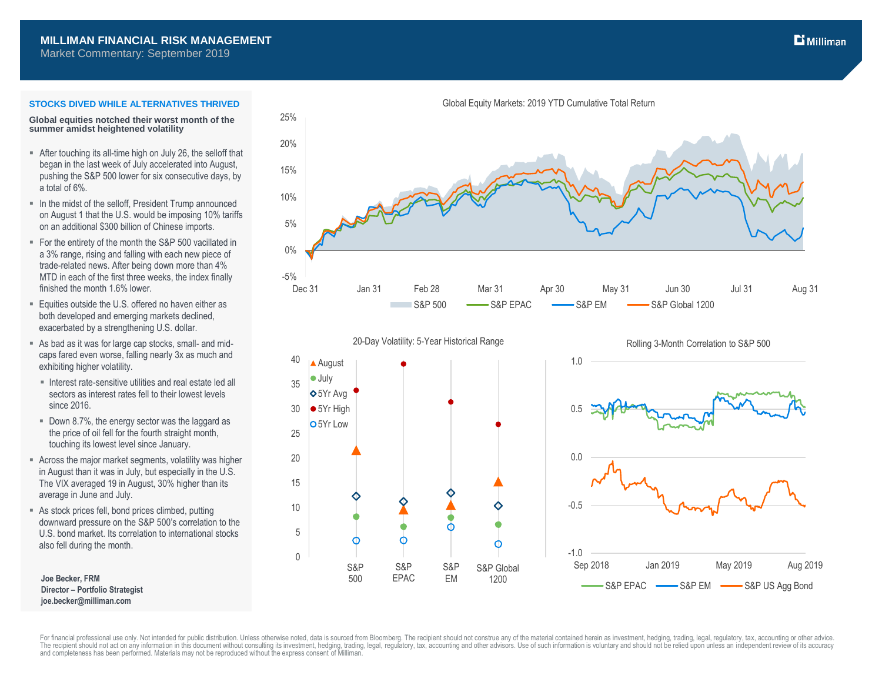Market Commentary: September 2019

# $\mathbf{E}$  Milliman

### **STOCKS DIVED WHILE ALTERNATIVES THRIVED**

**Global equities notched their worst month of the summer amidst heightened volatility**

- After touching its all-time high on July 26, the selloff that began in the last week of July accelerated into August, pushing the S&P 500 lower for six consecutive days, by a total of 6%.
- In the midst of the selloff, President Trump announced on August 1 that the U.S. would be imposing 10% tariffs on an additional \$300 billion of Chinese imports.
- For the entirety of the month the S&P 500 vacillated in a 3% range, rising and falling with each new piece of trade-related news. After being down more than 4% MTD in each of the first three weeks, the index finally finished the month 1.6% lower.
- Equities outside the U.S. offered no haven either as both developed and emerging markets declined, exacerbated by a strengthening U.S. dollar.
- As bad as it was for large cap stocks, small- and midcaps fared even worse, falling nearly 3x as much and exhibiting higher volatility.
- Interest rate-sensitive utilities and real estate led all sectors as interest rates fell to their lowest levels since 2016.
- Down 8.7%, the energy sector was the laggard as the price of oil fell for the fourth straight month, touching its lowest level since January.
- Across the major market segments, volatility was higher in August than it was in July, but especially in the U.S. The VIX averaged 19 in August, 30% higher than its average in June and July.
- As stock prices fell, bond prices climbed, putting downward pressure on the S&P 500's correlation to the U.S. bond market. Its correlation to international stocks also fell during the month.

**Joe Becker, FRM Director – Portfolio Strategist joe.becker@milliman.com**



S&P EPAC -S&P EM -S&P US Agg Bond

Global Equity Markets: 2019 YTD Cumulative Total Return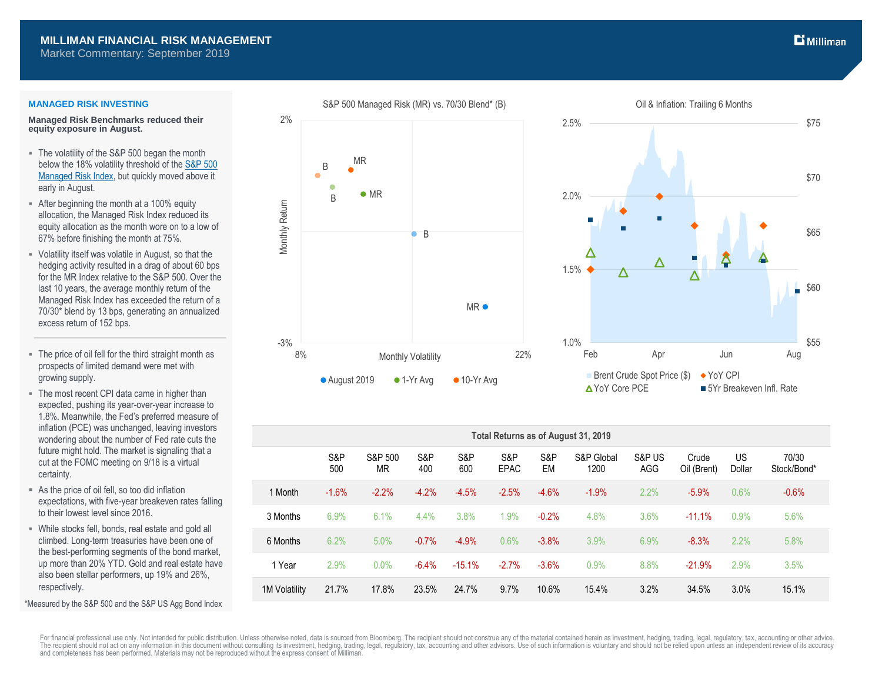## **MILLIMAN FINANCIAL RISK MANAGEMENT**

2%

Market Commentary: September 2019

### **MANAGED RISK INVESTING**

**Managed Risk Benchmarks reduced their equity exposure in August.**

- The volatility of the S&P 500 began the month below the 18% volatility threshold of th[e S&P 500](http://us.spindices.com/indices/strategy/sp-500-managed-risk-index)  [Managed Risk Index,](http://us.spindices.com/indices/strategy/sp-500-managed-risk-index) but quickly moved above it early in August.
- After beginning the month at a 100% equity allocation, the Managed Risk Index reduced its equity allocation as the month wore on to a low of 67% before finishing the month at 75%.
- Volatility itself was volatile in August, so that the hedging activity resulted in a drag of about 60 bps for the MR Index relative to the S&P 500. Over the last 10 years, the average monthly return of the Managed Risk Index has exceeded the return of a 70/30\* blend by 13 bps, generating an annualized excess return of 152 bps.
- The price of oil fell for the third straight month as prospects of limited demand were met with growing supply.
- The most recent CPI data came in higher than expected, pushing its year-over-year increase to 1.8%. Meanwhile, the Fed's preferred measure of inflation (PCE) was unchanged, leaving investors wondering about the number of Fed rate cuts the future might hold. The market is signaling that a cut at the FOMC meeting on 9/18 is a virtual certainty.
- As the price of oil fell, so too did inflation expectations, with five-year breakeven rates falling to their lowest level since 2016.
- While stocks fell, bonds, real estate and gold all climbed. Long-term treasuries have been one of the best-performing segments of the bond market, up more than 20% YTD. Gold and real estate have also been stellar performers, up 19% and 26%, respectively.

\*Measured by the S&P 500 and the S&P US Agg Bond Index



S&P 500 Managed Risk (MR) vs. 70/30 Blend\* (B)



| Total Returns as of August 31, 2019 |            |                      |            |            |                    |           |                    |               |                      |              |                      |
|-------------------------------------|------------|----------------------|------------|------------|--------------------|-----------|--------------------|---------------|----------------------|--------------|----------------------|
|                                     | S&P<br>500 | S&P 500<br><b>MR</b> | S&P<br>400 | S&P<br>600 | S&P<br><b>EPAC</b> | S&P<br>EM | S&P Global<br>1200 | S&P US<br>AGG | Crude<br>Oil (Brent) | US<br>Dollar | 70/30<br>Stock/Bond* |
| 1 Month                             | $-1.6%$    | $-2.2%$              | $-4.2%$    | $-4.5%$    | $-2.5%$            | $-4.6%$   | $-1.9%$            | 2.2%          | $-5.9%$              | 0.6%         | $-0.6%$              |
| 3 Months                            | 6.9%       | 6.1%                 | 4.4%       | 3.8%       | 1.9%               | $-0.2%$   | 4.8%               | 3.6%          | $-11.1%$             | 0.9%         | 5.6%                 |
| 6 Months                            | 6.2%       | 5.0%                 | $-0.7%$    | $-4.9%$    | 0.6%               | $-3.8%$   | 3.9%               | 6.9%          | $-8.3%$              | 2.2%         | 5.8%                 |
| 1 Year                              | 2.9%       | 0.0%                 | $-6.4%$    | $-15.1%$   | $-2.7%$            | $-3.6%$   | 0.9%               | 8.8%          | $-21.9%$             | 2.9%         | 3.5%                 |
| <b>1M Volatility</b>                | 21.7%      | 17.8%                | 23.5%      | 24.7%      | 9.7%               | 10.6%     | 15.4%              | 3.2%          | 34.5%                | 3.0%         | 15.1%                |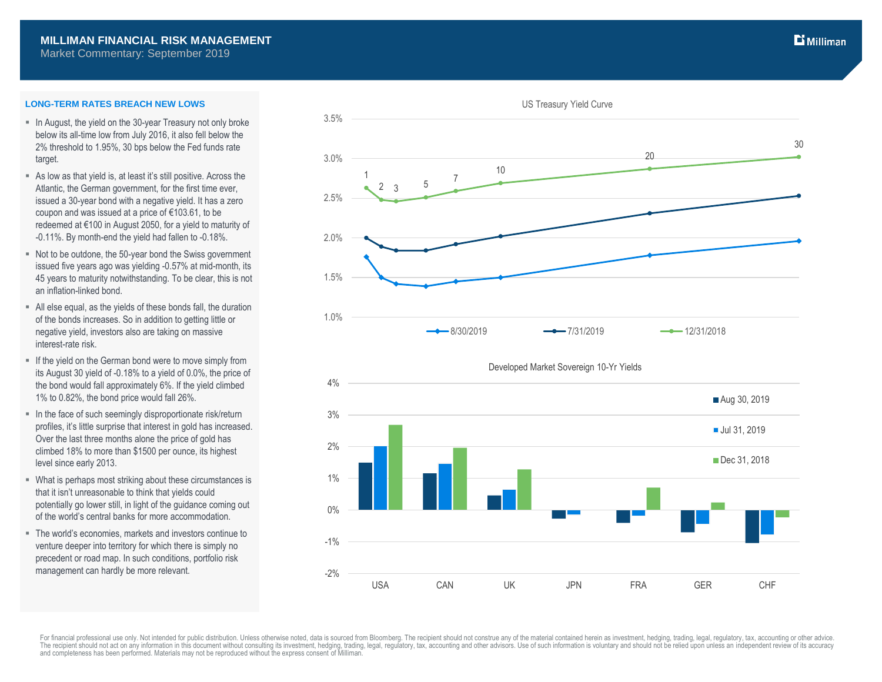## **MILLIMAN FINANCIAL RISK MANAGEMENT**

Market Commentary: September 2019

### **LONG-TERM RATES BREACH NEW LOWS**

- In August, the yield on the 30-year Treasury not only broke below its all-time low from July 2016, it also fell below the 2% threshold to 1.95%, 30 bps below the Fed funds rate target.
- As low as that yield is, at least it's still positive. Across the Atlantic, the German government, for the first time ever, issued a 30-year bond with a negative yield. It has a zero coupon and was issued at a price of €103.61, to be redeemed at €100 in August 2050, for a yield to maturity of -0.11%. By month-end the yield had fallen to -0.18%.
- Not to be outdone, the 50-year bond the Swiss government issued five years ago was yielding -0.57% at mid-month, its 45 years to maturity notwithstanding. To be clear, this is not an inflation-linked bond.
- All else equal, as the yields of these bonds fall, the duration of the bonds increases. So in addition to getting little or negative yield, investors also are taking on massive interest-rate risk.
- If the yield on the German bond were to move simply from its August 30 yield of -0.18% to a yield of 0.0%, the price of the bond would fall approximately 6%. If the yield climbed 1% to 0.82%, the bond price would fall 26%.
- In the face of such seemingly disproportionate risk/return profiles, it's little surprise that interest in gold has increased. Over the last three months alone the price of gold has climbed 18% to more than \$1500 per ounce, its highest level since early 2013.
- What is perhaps most striking about these circumstances is that it isn't unreasonable to think that yields could potentially go lower still, in light of the guidance coming out of the world's central banks for more accommodation.
- The world's economies, markets and investors continue to venture deeper into territory for which there is simply no precedent or road map. In such conditions, portfolio risk management can hardly be more relevant.